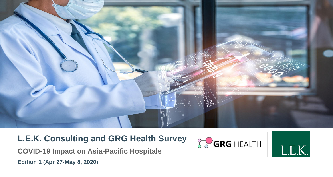

## **L.E.K. Consulting and GRG Health Survey**

**COVID-19 Impact on Asia-Pacific Hospitals Edition 1 (Apr 27-May 8, 2020)**



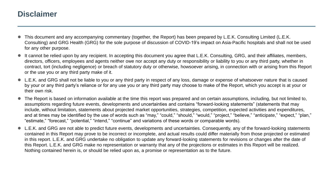### **Disclaimer**

- This document and any accompanying commentary (together, the Report) has been prepared by L.E.K. Consulting Limited (L.E.K. Consulting) and GRG Health (GRG) for the sole purpose of discussion of COVID-19's impact on Asia-Pacific hospitals and shall not be used for any other purpose.
- It cannot be relied upon by any recipient. In accepting this document you agree that L.E.K. Consulting, GRG, and their affiliates, members, directors, officers, employees and agents neither owe nor accept any duty or responsibility or liability to you or any third party, whether in contract, tort (including negligence) or breach of statutory duty or otherwise, howsoever arising, in connection with or arising from this Report or the use you or any third party make of it.
- L.E.K. and GRG shall not be liable to you or any third party in respect of any loss, damage or expense of whatsoever nature that is caused by your or any third party's reliance or for any use you or any third party may choose to make of the Report, which you accept is at your or their own risk.
- The Report is based on information available at the time this report was prepared and on certain assumptions, including, but not limited to, assumptions regarding future events, developments and uncertainties and contains "forward-looking statements" (statements that may include, without limitation, statements about projected market opportunities, strategies, competition, expected activities and expenditures, and at times may be identified by the use of words such as "may," "could," "should," "would," "project," "believe," "anticipate," "expect," "plan," "estimate," "forecast," "potential," "intend," "continue" and variations of these words or comparable words).
- L.E.K. and GRG are not able to predict future events, developments and uncertainties. Consequently, any of the forward-looking statements contained in this Report may prove to be incorrect or incomplete, and actual results could differ materially from those projected or estimated in this report. L.E.K. and GRG undertake no obligation to update any forward-looking statements for revisions or changes after the date of this Report. L.E.K. and GRG make no representation or warranty that any of the projections or estimates in this Report will be realized. Nothing contained herein is, or should be relied upon as, a promise or representation as to the future.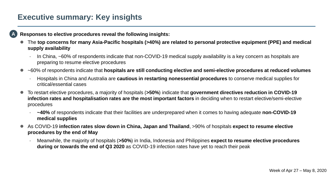### **Executive summary: Key insights**

**A**

#### **Responses to elective procedures reveal the following insights:**

- The **top concerns for many Asia-Pacific hospitals (>40%) are related to personal protective equipment (PPE) and medical supply availability**
	- In China, ~60% of respondents indicate that non-COVID-19 medical supply availability is a key concern as hospitals are preparing to resume elective procedures
- ~60% of respondents indicate that **hospitals are still conducting elective and semi-elective procedures at reduced volumes**
	- Hospitals in China and Australia are **cautious in restarting nonessential procedures** to conserve medical supplies for critical/essential cases
- To restart elective procedures, a majority of hospitals (**>50%**) indicate that **government directives reduction in COVID-19 infection rates and hospitalisation rates are the most important factors** in deciding when to restart elective/semi-elective procedures
	- **~40%** of respondents indicate that their facilities are underprepared when it comes to having adequate **non-COVID-19 medical supplies**
- As COVID-19 **infection rates slow down in China, Japan and Thailand**, >90% of hospitals **expect to resume elective procedures by the end of May**
	- Meanwhile, the majority of hospitals (**>50%**) in India, Indonesia and Philippines **expect to resume elective procedures during or towards the end of Q3 2020** as COVID-19 infection rates have yet to reach their peak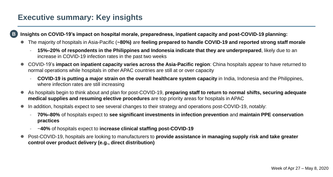### **Executive summary: Key insights**

**Insights on COVID-19's impact on hospital morale, preparedness, inpatient capacity and post-COVID-19 planning: B**

- The majority of hospitals in Asia-Pacific (**~80%)** are **feeling prepared to handle COVID-19 and reported strong staff morale**
	- **15%–20% of respondents in the Philippines and Indonesia indicate that they are underprepared**, likely due to an increase in COVID-19 infection rates in the past two weeks
- COVID-19's **impact on inpatient capacity varies across the Asia-Pacific region**: China hospitals appear to have returned to normal operations while hospitals in other APAC countries are still at or over capacity
	- **COVID-19 is putting a major strain on the overall healthcare system capacity** in India, Indonesia and the Philippines, where infection rates are still increasing
- As hospitals begin to think about and plan for post-COVID-19, **preparing staff to return to normal shifts, securing adequate medical supplies and resuming elective procedures** are top priority areas for hospitals in APAC
- In addition, hospitals expect to see several changes to their strategy and operations post-COVID-19, notably:
	- **70%–80%** of hospitals expect to **see significant investments in infection prevention** and **maintain PPE conservation practices**
	- ~**40%** of hospitals expect to **increase clinical staffing post-COVID-19**
- Post-COVID-19, hospitals are looking to manufacturers to **provide assistance in managing supply risk and take greater control over product delivery (e.g., direct distribution)**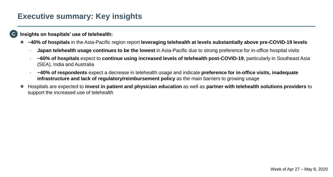### **Executive summary: Key insights**

#### **Insights on hospitals' use of telehealth: C**

- **~40% of hospitals** in the Asia-Pacific region report **leveraging telehealth at levels substantially above pre-COVID-19 levels**
	- **Japan telehealth usage continues to be the lowest** in Asia-Pacific due to strong preference for in-office hospital visits
	- **~60% of hospitals** expect to **continue using increased levels of telehealth post-COVID-19**, particularly in Southeast Asia (SEA), India and Australia
	- **~40% of respondents** expect a decrease in telehealth usage and indicate **preference for in-office visits, inadequate infrastructure and lack of regulatory/reimbursement policy** as the main barriers to growing usage
- Hospitals are expected to **invest in patient and physician education** as well as **partner with telehealth solutions providers** to support the increased use of telehealth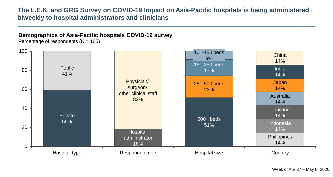### **The L.E.K. and GRG Survey on COVID-19 Impact on Asia-Pacific hospitals is being administered biweekly to hospital administrators and clinicians**

#### **Demographics of Asia-Pacific hospitals COVID-19 survey**

Percentage of respondents  $(N = 105)$ 

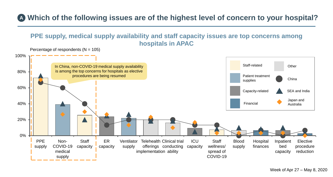# **Which of the following issues are of the highest level of concern to your hospital? A**

### **PPE supply, medical supply availability and staff capacity issues are top concerns among hospitals in APAC**

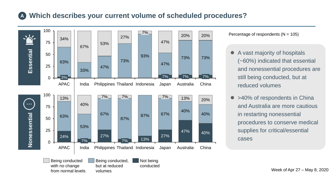#### **Which describes your current volume of scheduled procedures? A**



Percentage of respondents  $(N = 105)$ 

- A vast majority of hospitals (~60%) indicated that essential and nonessential procedures are still being conducted, but at reduced volumes
- >40% of respondents in China and Australia are more cautious in restarting nonessential procedures to conserve medical supplies for critical/essential cases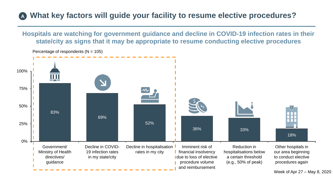### **What key factors will guide your facility to resume elective procedures? A**

**Hospitals are watching for government guidance and decline in COVID-19 infection rates in their state/city as signs that it may be appropriate to resume conducting elective procedures**



Percentage of respondents  $(N = 105)$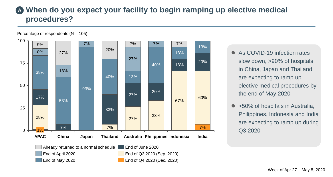## **When do you expect your facility to begin ramping up elective medical A procedures?**



- As COVID-19 infection rates slow down, >90% of hospitals in China, Japan and Thailand are expecting to ramp up elective medical procedures by the end of May 2020
- >50% of hospitals in Australia, Philippines, Indonesia and India are expecting to ramp up during Q3 2020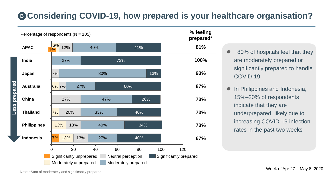# **Considering COVID-19, how prepared is your healthcare organisation? B**



| $\bullet$ ~80% of hospitals feel that they |
|--------------------------------------------|
| are moderately prepared or                 |
| significantly prepared to handle           |
| COVID-19                                   |

**•** In Philippines and Indonesia, 15%–20% of respondents indicate that they are underprepared, likely due to increasing COVID-19 infection rates in the past two weeks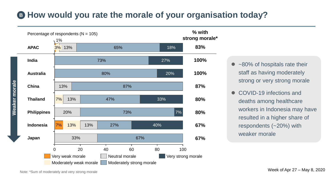# **How would you rate the morale of your organisation today? B**



- ~80% of hospitals rate their staff as having moderately strong or very strong morale
- COVID-19 infections and deaths among healthcare workers in Indonesia may have resulted in a higher share of respondents (~20%) with weaker morale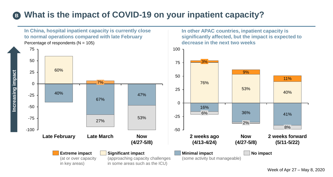# **What is the impact of COVID-19 on your inpatient capacity? B**



Week of Apr 27 – May 8, 2020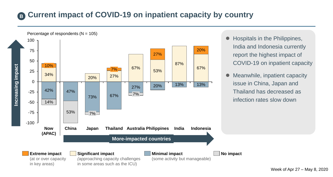#### **Current impact of COVID-19 on inpatient capacity by country B**



- Hospitals in the Philippines, India and Indonesia currently report the highest impact of COVID-19 on inpatient capacity
- Meanwhile, inpatient capacity issue in China, Japan and Thailand has decreased as infection rates slow down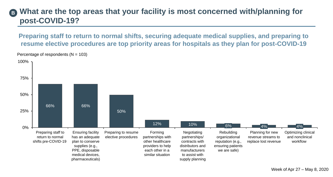#### **What are the top areas that your facility is most concerned with/planning for post-COVID-19? B**

**Preparing staff to return to normal shifts, securing adequate medical supplies, and preparing to resume elective procedures are top priority areas for hospitals as they plan for post-COVID-19**

Percentage of respondents  $(N = 103)$ 

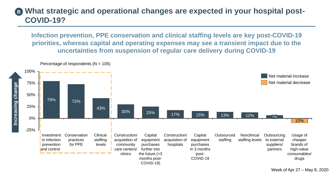#### **What strategic and operational changes are expected in your hospital post-COVID-19? B**

**Infection prevention, PPE conservation and clinical staffing levels are key post-COVID-19 priorities, whereas capital and operating expenses may see a transient impact due to the uncertainties from suspension of regular care delivery during COVID-19**

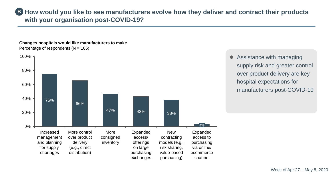**B** How would you like to see manufacturers evolve how they deliver and contract their products **with your organisation post-COVID-19?**

**Changes hospitals would like manufacturers to make** Percentage of respondents  $(N = 105)$ 



• Assistance with managing supply risk and greater control over product delivery are key hospital expectations for manufacturers post-COVID-19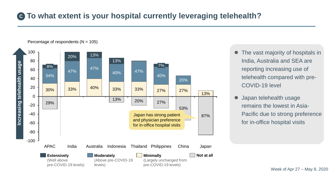## **To what extent is your hospital currently leveraging telehealth? C**



- The vast majority of hospitals in India, Australia and SEA are reporting increasing use of telehealth compared with pre-COVID-19 level
- Japan telehealth usage remains the lowest in Asia-Pacific due to strong preference for in-office hospital visits

Week of Apr 27 – May 8, 2020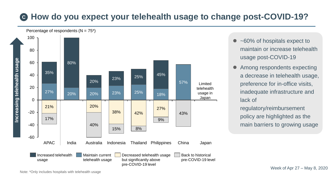# **G** How do you expect your telehealth usage to change post-COVID-19?



<sup>• ~60%</sup> of hospitals expect to maintain or increase telehealth usage post-COVID-19

 Among respondents expecting a decrease in telehealth usage, preference for in-office visits, inadequate infrastructure and lack of

regulatory/reimbursement policy are highlighted as the main barriers to growing usage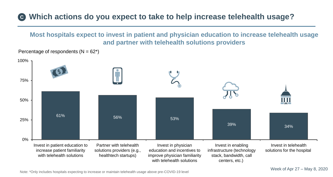# **Which actions do you expect to take to help increase telehealth usage? C**

**Most hospitals expect to invest in patient and physician education to increase telehealth usage and partner with telehealth solutions providers**



Percentage of respondents  $(N = 62^*)$ 

Note: \*Only includes hospitals expecting to increase or maintain telehealth usage above pre-COVID-19 level